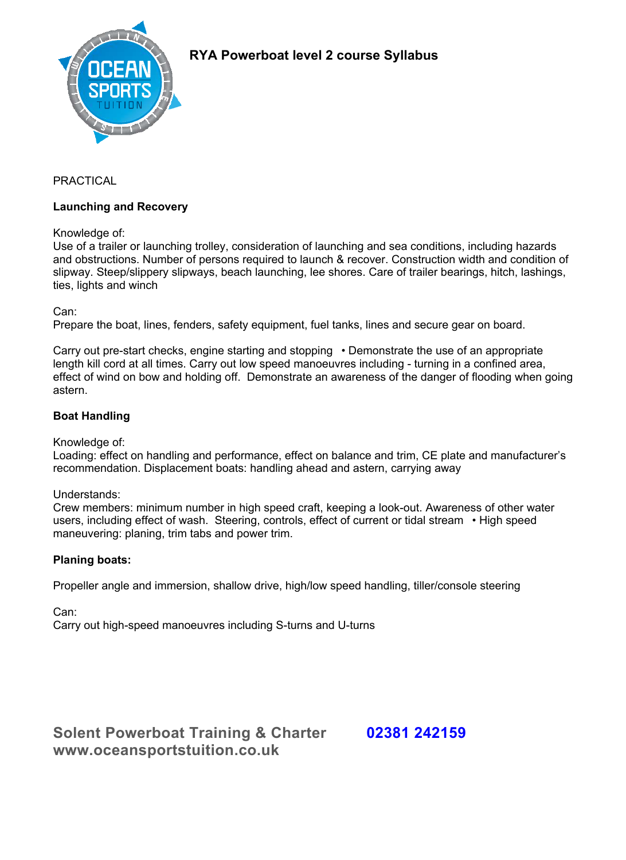

# **RYA Powerboat level 2 course Syllabus**

### PRACTICAL

#### **Launching and Recovery**

Knowledge of:

Use of a trailer or launching trolley, consideration of launching and sea conditions, including hazards and obstructions. Number of persons required to launch & recover. Construction width and condition of slipway. Steep/slippery slipways, beach launching, lee shores. Care of trailer bearings, hitch, lashings, ties, lights and winch

Can:

Prepare the boat, lines, fenders, safety equipment, fuel tanks, lines and secure gear on board.

Carry out pre-start checks, engine starting and stopping • Demonstrate the use of an appropriate length kill cord at all times. Carry out low speed manoeuvres including - turning in a confined area, effect of wind on bow and holding off. Demonstrate an awareness of the danger of flooding when going astern.

## **Boat Handling**

Knowledge of:

Loading: effect on handling and performance, effect on balance and trim, CE plate and manufacturer's recommendation. Displacement boats: handling ahead and astern, carrying away

Understands:

Crew members: minimum number in high speed craft, keeping a look-out. Awareness of other water users, including effect of wash. Steering, controls, effect of current or tidal stream • High speed maneuvering: planing, trim tabs and power trim.

## **Planing boats:**

Propeller angle and immersion, shallow drive, high/low speed handling, tiller/console steering

Can:

Carry out high-speed manoeuvres including S-turns and U-turns

**Solent Powerboat Training & Charter 02381 242159 www.oceansportstuition.co.uk**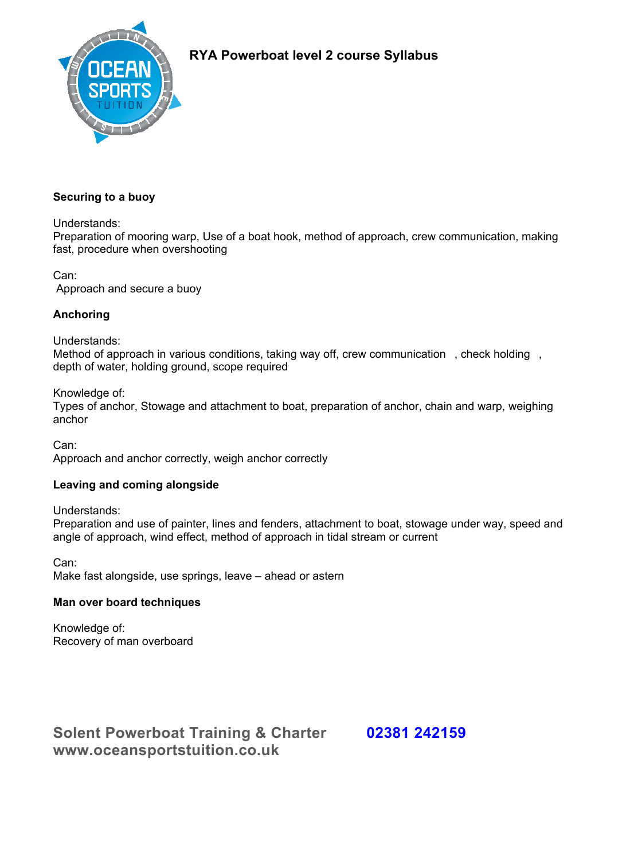

# **RYA Powerboat level 2 course Syllabus**

## **Securing to a buoy**

Understands:

Preparation of mooring warp, Use of a boat hook, method of approach, crew communication, making fast, procedure when overshooting

Can: Approach and secure a buoy

## **Anchoring**

Understands:

Method of approach in various conditions, taking way off, crew communication, check holding, depth of water, holding ground, scope required

Knowledge of:

Types of anchor, Stowage and attachment to boat, preparation of anchor, chain and warp, weighing anchor

Can:

Approach and anchor correctly, weigh anchor correctly

## **Leaving and coming alongside**

Understands:

Preparation and use of painter, lines and fenders, attachment to boat, stowage under way, speed and angle of approach, wind effect, method of approach in tidal stream or current

Can: Make fast alongside, use springs, leave – ahead or astern

## **Man over board techniques**

Knowledge of: Recovery of man overboard

**Solent Powerboat Training & Charter 02381 242159 www.oceansportstuition.co.uk**